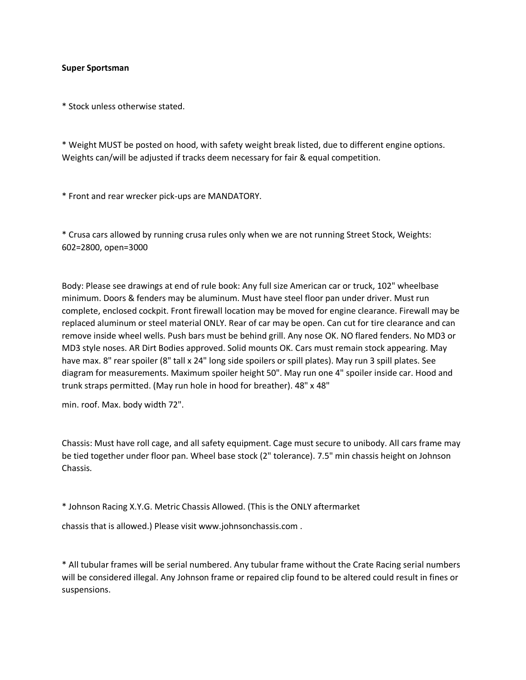## **Super Sportsman**

\* Stock unless otherwise stated.

\* Weight MUST be posted on hood, with safety weight break listed, due to different engine options. Weights can/will be adjusted if tracks deem necessary for fair & equal competition.

\* Front and rear wrecker pick-ups are MANDATORY.

\* Crusa cars allowed by running crusa rules only when we are not running Street Stock, Weights: 602=2800, open=3000

Body: Please see drawings at end of rule book: Any full size American car or truck, 102" wheelbase minimum. Doors & fenders may be aluminum. Must have steel floor pan under driver. Must run complete, enclosed cockpit. Front firewall location may be moved for engine clearance. Firewall may be replaced aluminum or steel material ONLY. Rear of car may be open. Can cut for tire clearance and can remove inside wheel wells. Push bars must be behind grill. Any nose OK. NO flared fenders. No MD3 or MD3 style noses. AR Dirt Bodies approved. Solid mounts OK. Cars must remain stock appearing. May have max. 8" rear spoiler (8" tall x 24" long side spoilers or spill plates). May run 3 spill plates. See diagram for measurements. Maximum spoiler height 50". May run one 4" spoiler inside car. Hood and trunk straps permitted. (May run hole in hood for breather). 48" x 48"

min. roof. Max. body width 72".

Chassis: Must have roll cage, and all safety equipment. Cage must secure to unibody. All cars frame may be tied together under floor pan. Wheel base stock (2" tolerance). 7.5" min chassis height on Johnson Chassis.

\* Johnson Racing X.Y.G. Metric Chassis Allowed. (This is the ONLY aftermarket

chassis that is allowed.) Please visit www.johnsonchassis.com .

\* All tubular frames will be serial numbered. Any tubular frame without the Crate Racing serial numbers will be considered illegal. Any Johnson frame or repaired clip found to be altered could result in fines or suspensions.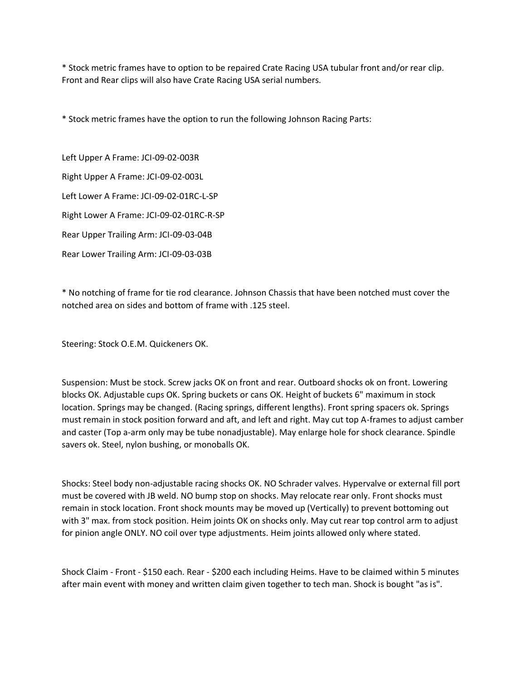\* Stock metric frames have to option to be repaired Crate Racing USA tubular front and/or rear clip. Front and Rear clips will also have Crate Racing USA serial numbers.

\* Stock metric frames have the option to run the following Johnson Racing Parts:

Left Upper A Frame: JCI-09-02-003R Right Upper A Frame: JCI-09-02-003L Left Lower A Frame: JCI-09-02-01RC-L-SP Right Lower A Frame: JCI-09-02-01RC-R-SP Rear Upper Trailing Arm: JCI-09-03-04B Rear Lower Trailing Arm: JCI-09-03-03B

\* No notching of frame for tie rod clearance. Johnson Chassis that have been notched must cover the notched area on sides and bottom of frame with .125 steel.

Steering: Stock O.E.M. Quickeners OK.

Suspension: Must be stock. Screw jacks OK on front and rear. Outboard shocks ok on front. Lowering blocks OK. Adjustable cups OK. Spring buckets or cans OK. Height of buckets 6" maximum in stock location. Springs may be changed. (Racing springs, different lengths). Front spring spacers ok. Springs must remain in stock position forward and aft, and left and right. May cut top A-frames to adjust camber and caster (Top a-arm only may be tube nonadjustable). May enlarge hole for shock clearance. Spindle savers ok. Steel, nylon bushing, or monoballs OK.

Shocks: Steel body non-adjustable racing shocks OK. NO Schrader valves. Hypervalve or external fill port must be covered with JB weld. NO bump stop on shocks. May relocate rear only. Front shocks must remain in stock location. Front shock mounts may be moved up (Vertically) to prevent bottoming out with 3" max. from stock position. Heim joints OK on shocks only. May cut rear top control arm to adjust for pinion angle ONLY. NO coil over type adjustments. Heim joints allowed only where stated.

Shock Claim - Front - \$150 each. Rear - \$200 each including Heims. Have to be claimed within 5 minutes after main event with money and written claim given together to tech man. Shock is bought "as is".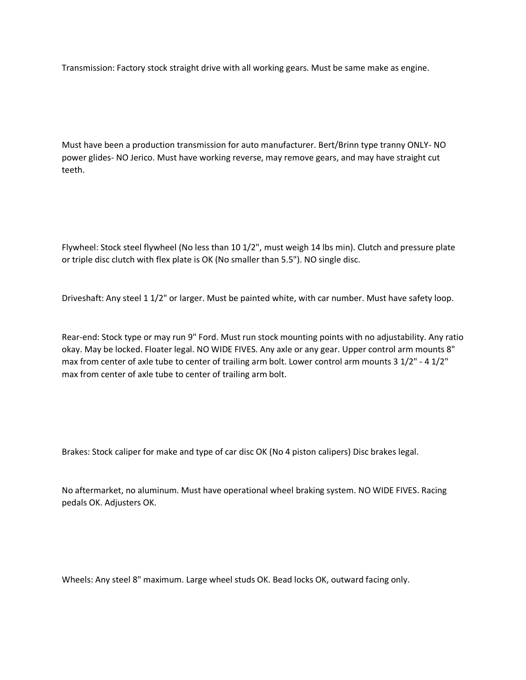Transmission: Factory stock straight drive with all working gears. Must be same make as engine.

Must have been a production transmission for auto manufacturer. Bert/Brinn type tranny ONLY- NO power glides- NO Jerico. Must have working reverse, may remove gears, and may have straight cut teeth.

Flywheel: Stock steel flywheel (No less than 10 1/2", must weigh 14 lbs min). Clutch and pressure plate or triple disc clutch with flex plate is OK (No smaller than 5.5"). NO single disc.

Driveshaft: Any steel 1 1/2" or larger. Must be painted white, with car number. Must have safety loop.

Rear-end: Stock type or may run 9" Ford. Must run stock mounting points with no adjustability. Any ratio okay. May be locked. Floater legal. NO WIDE FIVES. Any axle or any gear. Upper control arm mounts 8" max from center of axle tube to center of trailing arm bolt. Lower control arm mounts 3 1/2" - 4 1/2" max from center of axle tube to center of trailing arm bolt.

Brakes: Stock caliper for make and type of car disc OK (No 4 piston calipers) Disc brakes legal.

No aftermarket, no aluminum. Must have operational wheel braking system. NO WIDE FIVES. Racing pedals OK. Adjusters OK.

Wheels: Any steel 8" maximum. Large wheel studs OK. Bead locks OK, outward facing only.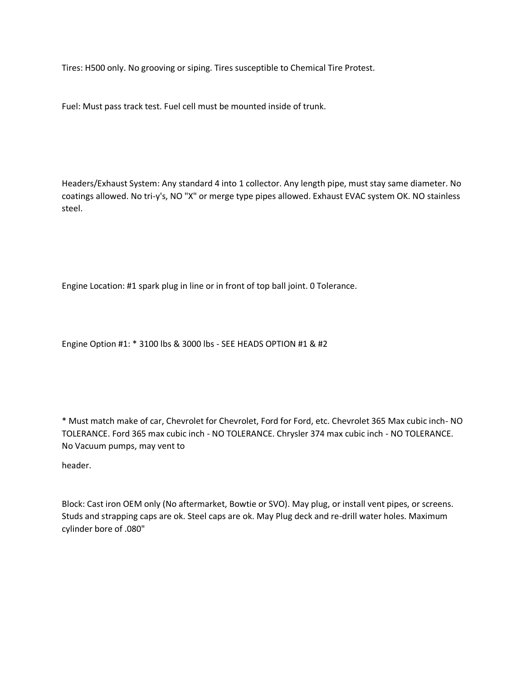Tires: H500 only. No grooving or siping. Tires susceptible to Chemical Tire Protest.

Fuel: Must pass track test. Fuel cell must be mounted inside of trunk.

Headers/Exhaust System: Any standard 4 into 1 collector. Any length pipe, must stay same diameter. No coatings allowed. No tri-y's, NO "X" or merge type pipes allowed. Exhaust EVAC system OK. NO stainless steel.

Engine Location: #1 spark plug in line or in front of top ball joint. 0 Tolerance.

Engine Option #1: \* 3100 lbs & 3000 lbs - SEE HEADS OPTION #1 & #2

\* Must match make of car, Chevrolet for Chevrolet, Ford for Ford, etc. Chevrolet 365 Max cubic inch- NO TOLERANCE. Ford 365 max cubic inch - NO TOLERANCE. Chrysler 374 max cubic inch - NO TOLERANCE. No Vacuum pumps, may vent to

header.

Block: Cast iron OEM only (No aftermarket, Bowtie or SVO). May plug, or install vent pipes, or screens. Studs and strapping caps are ok. Steel caps are ok. May Plug deck and re-drill water holes. Maximum cylinder bore of .080"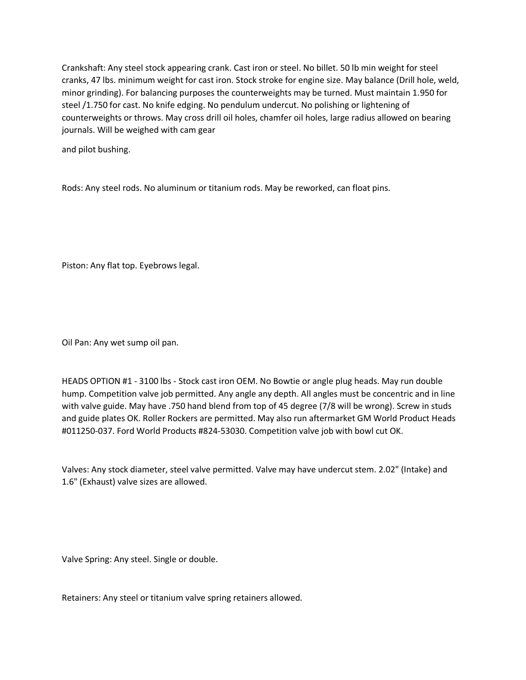Crankshaft: Any steel stock appearing crank. Cast iron or steel. No billet. 50 lb min weight for steel cranks, 47 lbs. minimum weight for cast iron. Stock stroke for engine size. May balance (Drill hole, weld, minor grinding). For balancing purposes the counterweights may be turned. Must maintain 1.950 for steel /1.750 for cast. No knife edging. No pendulum undercut. No polishing or lightening of counterweights or throws. May cross drill oil holes, chamfer oil holes, large radius allowed on bearing journals. Will be weighed with cam gear

and pilot bushing.

Rods: Any steel rods. No aluminum or titanium rods. May be reworked, can float pins.

Piston: Any flat top. Eyebrows legal.

Oil Pan: Any wet sump oil pan.

HEADS OPTION #1 - 3100 lbs - Stock cast iron OEM. No Bowtie or angle plug heads. May run double hump. Competition valve job permitted. Any angle any depth. All angles must be concentric and in line with valve guide. May have .750 hand blend from top of 45 degree (7/8 will be wrong). Screw in studs and guide plates OK. Roller Rockers are permitted. May also run aftermarket GM World Product Heads #011250-037. Ford World Products #824-53030. Competition valve job with bowl cut OK.

Valves: Any stock diameter, steel valve permitted. Valve may have undercut stem. 2.02" (Intake) and 1.6" (Exhaust) valve sizes are allowed.

Valve Spring: Any steel. Single or double.

Retainers: Any steel or titanium valve spring retainers allowed.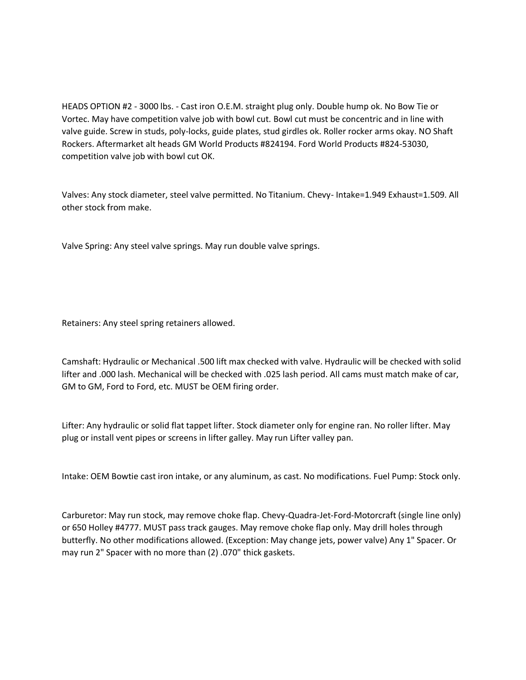HEADS OPTION #2 - 3000 lbs. - Cast iron O.E.M. straight plug only. Double hump ok. No Bow Tie or Vortec. May have competition valve job with bowl cut. Bowl cut must be concentric and in line with valve guide. Screw in studs, poly-locks, guide plates, stud girdles ok. Roller rocker arms okay. NO Shaft Rockers. Aftermarket alt heads GM World Products #824194. Ford World Products #824-53030, competition valve job with bowl cut OK.

Valves: Any stock diameter, steel valve permitted. No Titanium. Chevy- Intake=1.949 Exhaust=1.509. All other stock from make.

Valve Spring: Any steel valve springs. May run double valve springs.

Retainers: Any steel spring retainers allowed.

Camshaft: Hydraulic or Mechanical .500 lift max checked with valve. Hydraulic will be checked with solid lifter and .000 lash. Mechanical will be checked with .025 lash period. All cams must match make of car, GM to GM, Ford to Ford, etc. MUST be OEM firing order.

Lifter: Any hydraulic or solid flat tappet lifter. Stock diameter only for engine ran. No roller lifter. May plug or install vent pipes or screens in lifter galley. May run Lifter valley pan.

Intake: OEM Bowtie cast iron intake, or any aluminum, as cast. No modifications. Fuel Pump: Stock only.

Carburetor: May run stock, may remove choke flap. Chevy-Quadra-Jet-Ford-Motorcraft (single line only) or 650 Holley #4777. MUST pass track gauges. May remove choke flap only. May drill holes through butterfly. No other modifications allowed. (Exception: May change jets, power valve) Any 1" Spacer. Or may run 2" Spacer with no more than (2) .070" thick gaskets.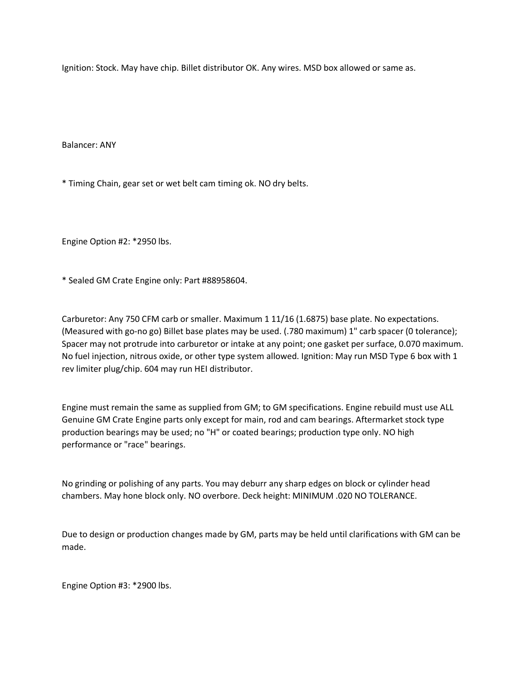Ignition: Stock. May have chip. Billet distributor OK. Any wires. MSD box allowed or same as.

Balancer: ANY

\* Timing Chain, gear set or wet belt cam timing ok. NO dry belts.

Engine Option #2: \*2950 lbs.

\* Sealed GM Crate Engine only: Part #88958604.

Carburetor: Any 750 CFM carb or smaller. Maximum 1 11/16 (1.6875) base plate. No expectations. (Measured with go-no go) Billet base plates may be used. (.780 maximum) 1" carb spacer (0 tolerance); Spacer may not protrude into carburetor or intake at any point; one gasket per surface, 0.070 maximum. No fuel injection, nitrous oxide, or other type system allowed. Ignition: May run MSD Type 6 box with 1 rev limiter plug/chip. 604 may run HEI distributor.

Engine must remain the same as supplied from GM; to GM specifications. Engine rebuild must use ALL Genuine GM Crate Engine parts only except for main, rod and cam bearings. Aftermarket stock type production bearings may be used; no "H" or coated bearings; production type only. NO high performance or "race" bearings.

No grinding or polishing of any parts. You may deburr any sharp edges on block or cylinder head chambers. May hone block only. NO overbore. Deck height: MINIMUM .020 NO TOLERANCE.

Due to design or production changes made by GM, parts may be held until clarifications with GM can be made.

Engine Option #3: \*2900 lbs.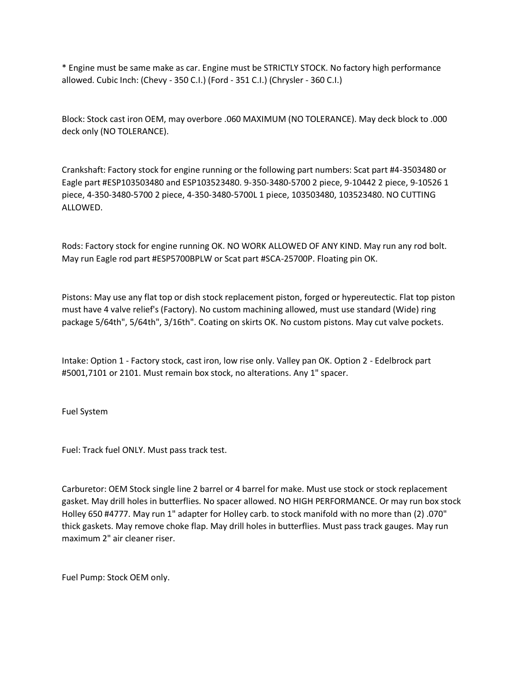\* Engine must be same make as car. Engine must be STRICTLY STOCK. No factory high performance allowed. Cubic Inch: (Chevy - 350 C.I.) (Ford - 351 C.I.) (Chrysler - 360 C.I.)

Block: Stock cast iron OEM, may overbore .060 MAXIMUM (NO TOLERANCE). May deck block to .000 deck only (NO TOLERANCE).

Crankshaft: Factory stock for engine running or the following part numbers: Scat part #4-3503480 or Eagle part #ESP103503480 and ESP103523480. 9-350-3480-5700 2 piece, 9-10442 2 piece, 9-10526 1 piece, 4-350-3480-5700 2 piece, 4-350-3480-5700L 1 piece, 103503480, 103523480. NO CUTTING ALLOWED.

Rods: Factory stock for engine running OK. NO WORK ALLOWED OF ANY KIND. May run any rod bolt. May run Eagle rod part #ESP5700BPLW or Scat part #SCA-25700P. Floating pin OK.

Pistons: May use any flat top or dish stock replacement piston, forged or hypereutectic. Flat top piston must have 4 valve relief's (Factory). No custom machining allowed, must use standard (Wide) ring package 5/64th", 5/64th", 3/16th". Coating on skirts OK. No custom pistons. May cut valve pockets.

Intake: Option 1 - Factory stock, cast iron, low rise only. Valley pan OK. Option 2 - Edelbrock part #5001,7101 or 2101. Must remain box stock, no alterations. Any 1" spacer.

Fuel System

Fuel: Track fuel ONLY. Must pass track test.

Carburetor: OEM Stock single line 2 barrel or 4 barrel for make. Must use stock or stock replacement gasket. May drill holes in butterflies. No spacer allowed. NO HIGH PERFORMANCE. Or may run box stock Holley 650 #4777. May run 1" adapter for Holley carb. to stock manifold with no more than (2) .070" thick gaskets. May remove choke flap. May drill holes in butterflies. Must pass track gauges. May run maximum 2" air cleaner riser.

Fuel Pump: Stock OEM only.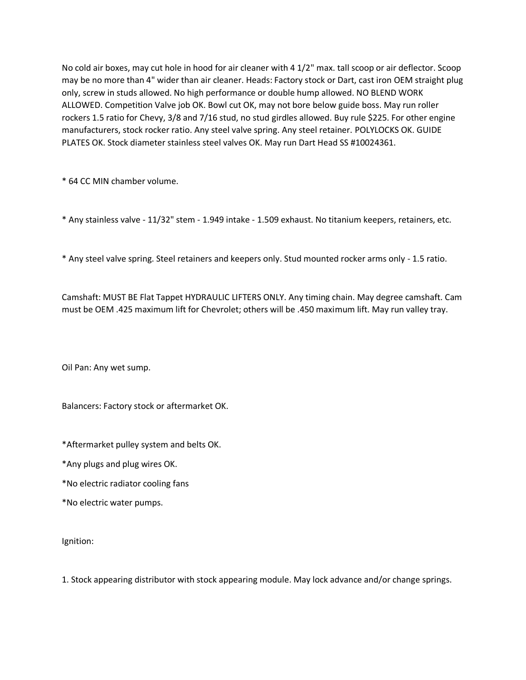No cold air boxes, may cut hole in hood for air cleaner with 4 1/2" max. tall scoop or air deflector. Scoop may be no more than 4" wider than air cleaner. Heads: Factory stock or Dart, cast iron OEM straight plug only, screw in studs allowed. No high performance or double hump allowed. NO BLEND WORK ALLOWED. Competition Valve job OK. Bowl cut OK, may not bore below guide boss. May run roller rockers 1.5 ratio for Chevy, 3/8 and 7/16 stud, no stud girdles allowed. Buy rule \$225. For other engine manufacturers, stock rocker ratio. Any steel valve spring. Any steel retainer. POLYLOCKS OK. GUIDE PLATES OK. Stock diameter stainless steel valves OK. May run Dart Head SS #10024361.

\* 64 CC MIN chamber volume.

\* Any stainless valve - 11/32" stem - 1.949 intake - 1.509 exhaust. No titanium keepers, retainers, etc.

\* Any steel valve spring. Steel retainers and keepers only. Stud mounted rocker arms only - 1.5 ratio.

Camshaft: MUST BE Flat Tappet HYDRAULIC LIFTERS ONLY. Any timing chain. May degree camshaft. Cam must be OEM .425 maximum lift for Chevrolet; others will be .450 maximum lift. May run valley tray.

Oil Pan: Any wet sump.

Balancers: Factory stock or aftermarket OK.

\*Aftermarket pulley system and belts OK.

\*Any plugs and plug wires OK.

\*No electric radiator cooling fans

\*No electric water pumps.

Ignition:

1. Stock appearing distributor with stock appearing module. May lock advance and/or change springs.